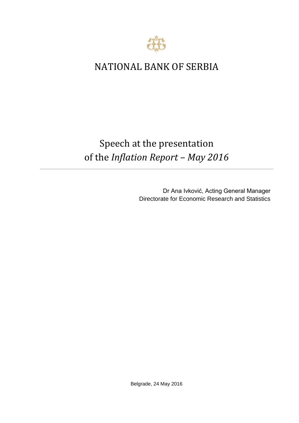

## NATIONAL BANK OF SERBIA

## Speech at the presentation of the *Inflation Report – May 2016*

Dr Ana Ivković, Acting General Manager Directorate for Economic Research and Statistics

Belgrade, 24 May 2016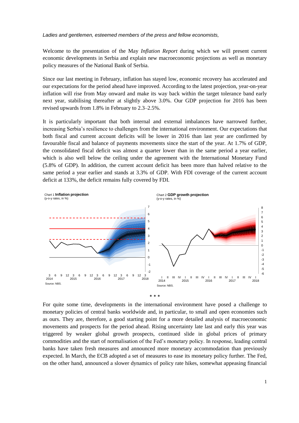*Ladies and gentlemen, esteemed members of the press and fellow economists,*

Welcome to the presentation of the May *Inflation Report* during which we will present current economic developments in Serbia and explain new macroeconomic projections as well as monetary policy measures of the National Bank of Serbia.

Since our last meeting in February, inflation has stayed low, economic recovery has accelerated and our expectations for the period ahead have improved. According to the latest projection, year-on-year inflation will rise from May onward and make its way back within the target tolerance band early next year, stabilising thereafter at slightly above 3.0%. Our GDP projection for 2016 has been revised upwards from 1.8% in February to 2.3–2.5%.

It is particularly important that both internal and external imbalances have narrowed further, increasing Serbia's resilience to challenges from the international environment. Our expectations that both fiscal and current account deficits will be lower in 2016 than last year are confirmed by favourable fiscal and balance of payments movements since the start of the year. At 1.7% of GDP, the consolidated fiscal deficit was almost a quarter lower than in the same period a year earlier, which is also well below the ceiling under the agreement with the International Monetary Fund (5.8% of GDP). In addition, the current account deficit has been more than halved relative to the same period a year earlier and stands at 3.3% of GDP. With FDI coverage of the current account deficit at 133%, the deficit remains fully covered by FDI.



 $\ast$ 

For quite some time, developments in the international environment have posed a challenge to monetary policies of central banks worldwide and, in particular, to small and open economies such as ours. They are, therefore, a good starting point for a more detailed analysis of macroeconomic movements and prospects for the period ahead. Rising uncertainty late last and early this year was triggered by weaker global growth prospects, continued slide in global prices of primary commodities and the start of normalisation of the Fed's monetary policy. In response, leading central banks have taken fresh measures and announced more monetary accommodation than previously expected. In March, the ECB adopted a set of measures to ease its monetary policy further. The Fed, on the other hand, announced a slower dynamics of policy rate hikes, somewhat appeasing financial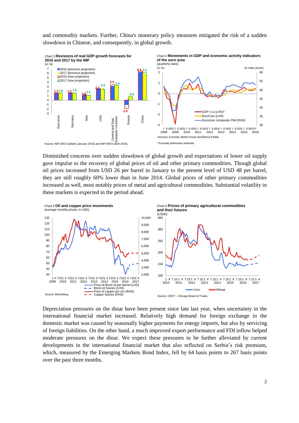and commodity markets. Further, China's monetary policy measures mitigated the risk of a sudden slowdown in Chinese, and consequently, in global growth.



Diminished concerns over sudden slowdown of global growth and expectations of lower oil supply gave impulse to the recovery of global prices of oil and other primary commodities. Though global oil prices increased from USD 26 per barrel in January to the present level of USD 48 per barrel, they are still roughly 60% lower than in June 2014. Global prices of other primary commodities increased as well, most notably prices of metal and agricultural commodities. Substantial volatility in these markets is expected in the period ahead.



Depreciation pressures on the dinar have been present since late last year, when uncertainty in the international financial market increased. Relatively high demand for foreign exchange in the domestic market was caused by seasonally higher payments for energy imports, but also by servicing of foreign liabilities. On the other hand, a much improved export performance and FDI inflow helped moderate pressures on the dinar. We expect these pressures to be further alleviated by current developments in the international financial market that also reflected on Serbia's risk premium, which, measured by the Emerging Markets Bond Index, fell by 64 basis points to 267 basis points over the past three months.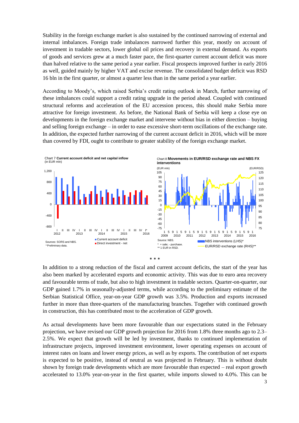Stability in the foreign exchange market is also sustained by the continued narrowing of external and internal imbalances. Foreign trade imbalances narrowed further this year, mostly on account of investment in tradable sectors, lower global oil prices and recovery in external demand. As exports of goods and services grew at a much faster pace, the first-quarter current account deficit was more than halved relative to the same period a year earlier. Fiscal prospects improved further in early 2016 as well, guided mainly by higher VAT and excise revenue. The consolidated budget deficit was RSD 16 bln in the first quarter, or almost a quarter less than in the same period a year earlier.

According to Moody's*,* which raised Serbia's credit rating outlook in March, further narrowing of these imbalances could support a credit rating upgrade in the period ahead. Coupled with continued structural reforms and acceleration of the EU accession process, this should make Serbia more attractive for foreign investment. As before, the National Bank of Serbia will keep a close eye on developments in the foreign exchange market and intervene without bias in either direction – buying and selling foreign exchange – in order to ease excessive short-term oscillations of the exchange rate. In addition, the expected further narrowing of the current account deficit in 2016, which will be more than covered by FDI, ought to contribute to greater stability of the foreign exchange market.



In addition to a strong reduction of the fiscal and current account deficits, the start of the year has also been marked by accelerated exports and economic activity. This was due to euro area recovery and favourable terms of trade, but also to high investment in tradable sectors. Quarter-on-quarter, our GDP gained 1.7% in seasonally-adjusted terms, while according to the preliminary estimate of the Serbian Statistical Office, year-on-year GDP growth was 3.5%. Production and exports increased further in more than three-quarters of the manufacturing branches. Together with continued growth in construction, this has contributed most to the acceleration of GDP growth.

As actual developments have been more favourable than our expectations stated in the February projection, we have revised our GDP growth projection for 2016 from 1.8% three months ago to 2.3– 2.5%. We expect that growth will be led by investment, thanks to continued implementation of infrastructure projects, improved investment environment, lower operating expenses on account of interest rates on loans and lower energy prices, as well as by exports. The contribution of net exports is expected to be positive, instead of neutral as was projected in February. This is without doubt shown by foreign trade developments which are more favourable than expected – real export growth accelerated to 13.0% year-on-year in the first quarter, while imports slowed to 4.0%. This can be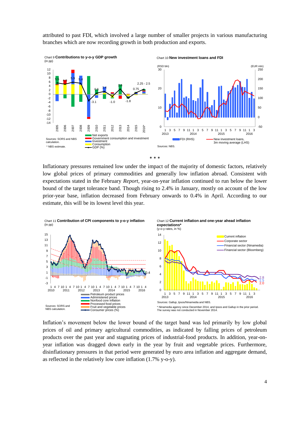

attributed to past FDI, which involved a large number of smaller projects in various manufacturing branches which are now recording growth in both production and exports.



Inflationary pressures remained low under the impact of the majority of domestic factors, relatively low global prices of primary commodities and generally low inflation abroad. Consistent with expectations stated in the February *Report,* year-on-year inflation continued to run below the lower bound of the target tolerance band. Though rising to 2.4% in January, mostly on account of the low prior-year base, inflation decreased from February onwards to 0.4% in April. According to our estimate, this will be its lowest level this year.



Inflation's movement below the lower bound of the target band was led primarily by low global prices of oil and primary agricultural commodities, as indicated by falling prices of petroleum products over the past year and stagnating prices of industrial-food products. In addition, year-onyear inflation was dragged down early in the year by fruit and vegetable prices. Furthermore, disinflationary pressures in that period were generated by euro area inflation and aggregate demand, as reflected in the relatively low core inflation (1.7% y-o-y).